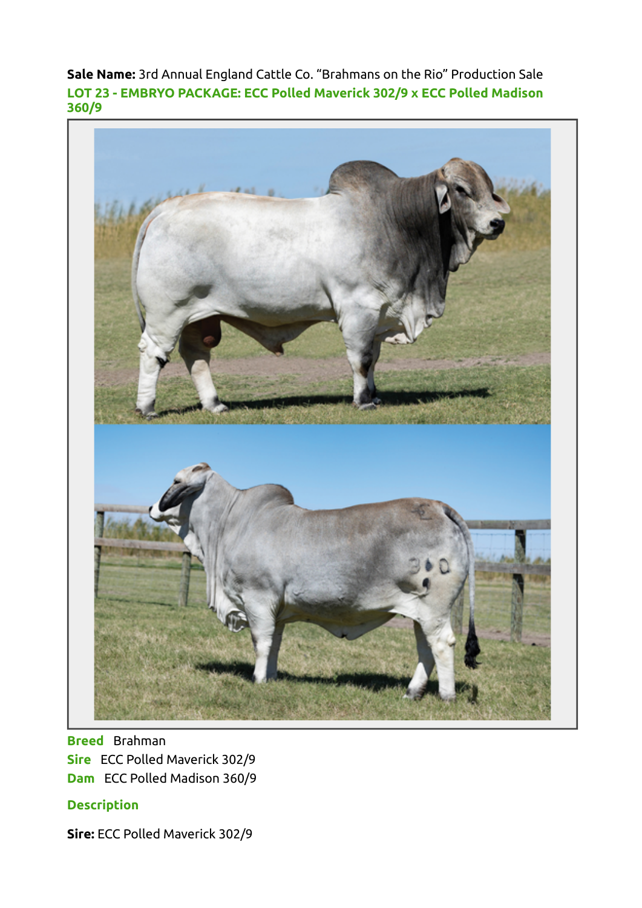Sale Name: 3rd Annual England Cattle Co. "Brahmans on the Rio" Production Sale LOT 23 - EMBRYO PACKAGE: ECC Polled Maverick 302/9 x ECC Polled Madison 360/9



Breed Brahman Sire ECC Polled Maverick 302/9 Dam ECC Polled Madison 360/9

## **Description**

Sire: ECC Polled Maverick 302/9